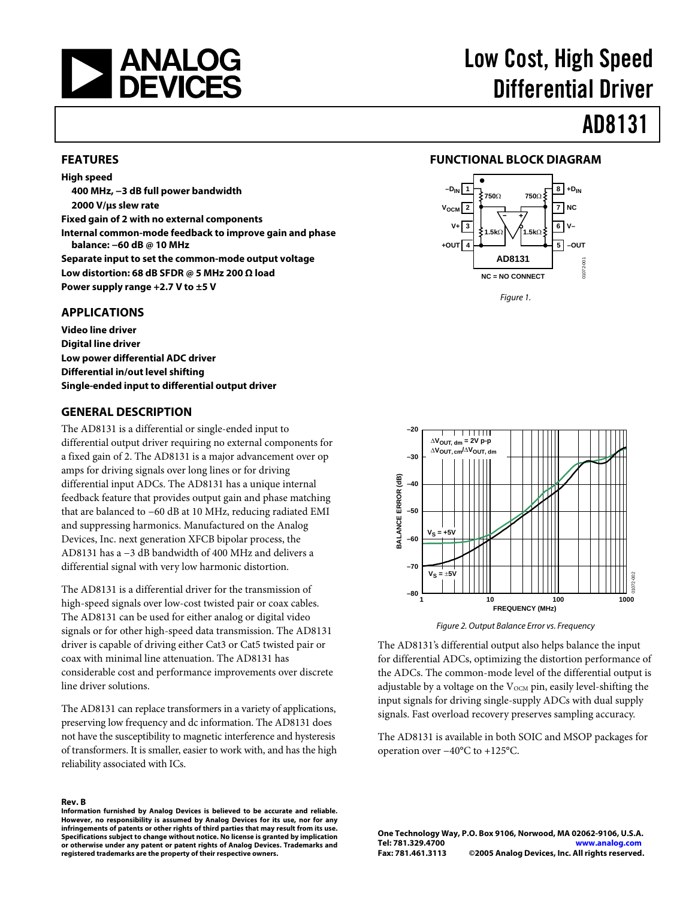

# Low Cost, High Speed Differential Driver

# AD8131

#### **FEATURES**

**High speed 400 MHz, −3 dB full power bandwidth 2000 V/μs slew rate Fixed gain of 2 with no external components Internal common-mode feedback to improve gain and phase balance: −60 dB @ 10 MHz Separate input to set the common-mode output voltage Low distortion: 68 dB SFDR @ 5 MHz 200 Ω load Power supply range +2.7 V to ±5 V** 

#### **APPLICATIONS**

**Video line driver Digital line driver Low power differential ADC driver Differential in/out level shifting Single-ended input to differential output driver** 

#### **GENERAL DESCRIPTION**

The AD8131 is a differential or single-ended input to differential output driver requiring no external components for a fixed gain of 2. The AD8131 is a major advancement over op amps for driving signals over long lines or for driving differential input ADCs. The AD8131 has a unique internal feedback feature that provides output gain and phase matching that are balanced to −60 dB at 10 MHz, reducing radiated EMI and suppressing harmonics. Manufactured on the Analog Devices, Inc. next generation XFCB bipolar process, the AD8131 has a −3 dB bandwidth of 400 MHz and delivers a differential signal with very low harmonic distortion.

The AD8131 is a differential driver for the transmission of high-speed signals over low-cost twisted pair or coax cables. The AD8131 can be used for either analog or digital video signals or for other high-speed data transmission. The AD8131 driver is capable of driving either Cat3 or Cat5 twisted pair or coax with minimal line attenuation. The AD8131 has considerable cost and performance improvements over discrete line driver solutions.

The AD8131 can replace transformers in a variety of applications, preserving low frequency and dc information. The AD8131 does not have the susceptibility to magnetic interference and hysteresis of transformers. It is smaller, easier to work with, and has the high reliability associated with ICs.

#### **Rev. B**

**Information furnished by Analog Devices is believed to be accurate and reliable. However, no responsibility is assumed by Analog Devices for its use, nor for any infringements of patents or other rights of third parties that may result from its use. Specifications subject to change without notice. No license is granted by implication or otherwise under any patent or patent rights of Analog Devices. Trademarks and registered trademarks are the property of their respective owners.**

#### **FUNCTIONAL BLOCK DIAGRAM**



Figure 1.



Figure 2. Output Balance Error vs. Frequency

The AD8131's differential output also helps balance the input for differential ADCs, optimizing the distortion performance of the ADCs. The common-mode level of the differential output is adjustable by a voltage on the  $V_{OCM}$  pin, easily level-shifting the input signals for driving single-supply ADCs with dual supply signals. Fast overload recovery preserves sampling accuracy.

The AD8131 is available in both SOIC and MSOP packages for operation over −40°C to +125°C.

**One Technology Way, P.O. Box 9106, Norwood, MA 02062-9106, U.S.A. Tel: 781.329.4700 www.analog.com Fax: 781.461.3113 ©2005 Analog Devices, Inc. All rights reserved.**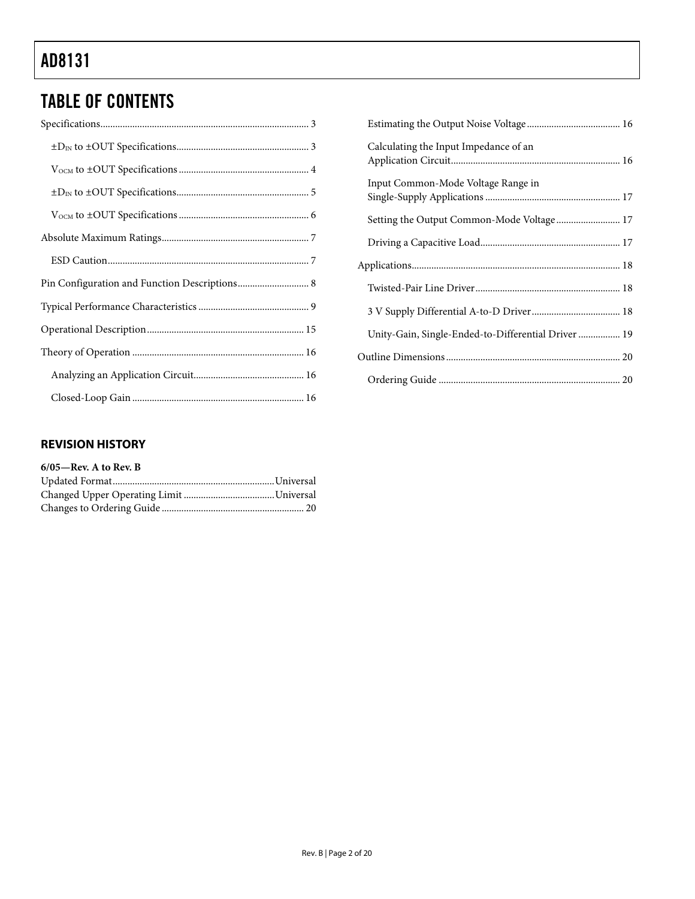# TABLE OF CONTENTS

| Calculating the Input Impedance of an               |  |
|-----------------------------------------------------|--|
| Input Common-Mode Voltage Range in                  |  |
|                                                     |  |
|                                                     |  |
|                                                     |  |
|                                                     |  |
|                                                     |  |
| Unity-Gain, Single-Ended-to-Differential Driver  19 |  |
|                                                     |  |
|                                                     |  |

### **REVISION HISTORY**

| $6/05$ —Rev. A to Rev. B |  |
|--------------------------|--|
|                          |  |
|                          |  |
|                          |  |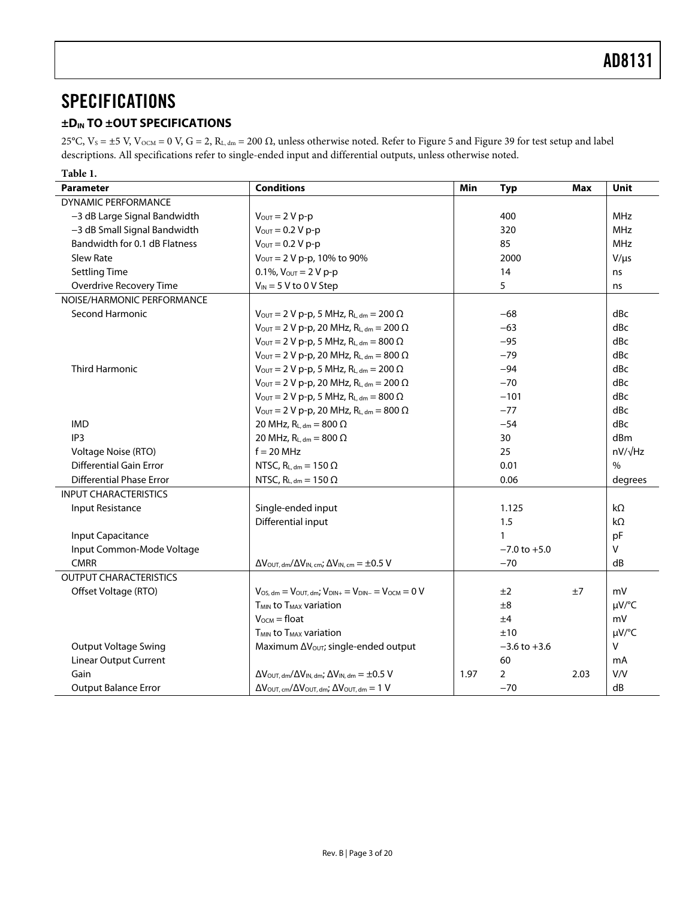## <span id="page-2-0"></span>**SPECIFICATIONS**

### **±DIN TO ±OUT SPECIFICATIONS**

25°C,  $V_s$  = ±5 V,  $V_{OCM}$  = 0 V, G = 2, R<sub>L, dm</sub> = 200 Ω, unless otherwise noted. Refer to [Figure 5](#page-8-1) and [Figure 39](#page-14-1) for test setup and label descriptions. All specifications refer to single-ended input and differential outputs, unless otherwise noted.

| Table 1.                        |                                                                                                       |       |                  |      |                |
|---------------------------------|-------------------------------------------------------------------------------------------------------|-------|------------------|------|----------------|
| <b>Parameter</b>                | <b>Conditions</b>                                                                                     | Min   | <b>Typ</b>       | Max  | Unit           |
| <b>DYNAMIC PERFORMANCE</b>      |                                                                                                       |       |                  |      |                |
| -3 dB Large Signal Bandwidth    | $V_{OUT} = 2 V p-p$                                                                                   |       | 400              |      | MHz            |
| -3 dB Small Signal Bandwidth    | $V_{\text{OUT}} = 0.2 V p-p$                                                                          |       | 320              |      | MHz            |
| Bandwidth for 0.1 dB Flatness   | $V_{OUT} = 0.2 V p-p$                                                                                 |       | 85               |      | MHz            |
| <b>Slew Rate</b>                | $V_{\text{OUT}} = 2 V p-p$ , 10% to 90%                                                               |       | 2000             |      | $V/\mu s$      |
| <b>Settling Time</b>            | 0.1%, $V_{OUT} = 2 V p-p$                                                                             |       | 14               |      | ns             |
| Overdrive Recovery Time         | $V_{IN}$ = 5 V to 0 V Step                                                                            |       | 5                |      | ns             |
| NOISE/HARMONIC PERFORMANCE      |                                                                                                       |       |                  |      |                |
| Second Harmonic                 | $V_{\text{OUT}} = 2 V p-p$ , 5 MHz, R <sub>L, dm</sub> = 200 $\Omega$                                 |       | $-68$            |      | dBc            |
|                                 | $V_{\text{OUT}} = 2 V p - p$ , 20 MHz, R <sub>L, dm</sub> = 200 $\Omega$                              |       | $-63$            |      | dBc            |
|                                 | $V_{\text{OUT}} = 2 V p-p$ , 5 MHz, R <sub>L, dm</sub> = 800 $\Omega$                                 |       | $-95$            |      | dBc            |
|                                 | $V_{\text{OUT}} = 2 V p-p$ , 20 MHz, R <sub>L, dm</sub> = 800 $\Omega$                                |       | $-79$            |      | dBc            |
| <b>Third Harmonic</b>           | $V_{\text{OUT}} = 2 V p - p$ , 5 MHz, RL, dm = 200 $\Omega$                                           |       | $-94$            |      | dBc            |
|                                 | $V_{OUT} = 2 V p-p$ , 20 MHz, R <sub>L, dm</sub> = 200 Ω                                              |       | $-70$            |      | dBc            |
|                                 | $V_{\text{OUT}} = 2 V p-p$ , 5 MHz, RL, dm = 800 $\Omega$                                             |       | $-101$           |      | dBc            |
|                                 | $V_{\text{OUT}} = 2 V p-p$ , 20 MHz, R <sub>L, dm</sub> = 800 $\Omega$                                |       | $-77$            |      | dBc            |
| <b>IMD</b>                      | 20 MHz, $R_{L, dm} = 800 \Omega$                                                                      | $-54$ |                  |      |                |
| IP <sub>3</sub>                 | 20 MHz, $R_{L,dm} = 800 \Omega$                                                                       |       | 30               |      | dBm            |
| Voltage Noise (RTO)             | $f = 20$ MHz                                                                                          |       | 25               |      | $nV/\sqrt{Hz}$ |
| <b>Differential Gain Error</b>  | NTSC, $R_{L, dm} = 150 \Omega$                                                                        |       | 0.01             |      | $\%$           |
| <b>Differential Phase Error</b> | NTSC, $R_{L, dm} = 150 \Omega$                                                                        |       | 0.06             |      | degrees        |
| <b>INPUT CHARACTERISTICS</b>    |                                                                                                       |       |                  |      |                |
| Input Resistance                | Single-ended input                                                                                    |       | 1.125            |      | $k\Omega$      |
|                                 | Differential input                                                                                    |       | 1.5              |      | $k\Omega$      |
| <b>Input Capacitance</b>        |                                                                                                       |       | $\mathbf{1}$     |      | pF             |
| Input Common-Mode Voltage       |                                                                                                       |       | $-7.0$ to $+5.0$ |      | V              |
| <b>CMRR</b>                     | $\Delta V_{\text{OUT, dm}}/\Delta V_{\text{IN, cm}}$ ; $\Delta V_{\text{IN, cm}} = \pm 0.5 \text{ V}$ |       | $-70$            |      | dB             |
| <b>OUTPUT CHARACTERISTICS</b>   |                                                                                                       |       |                  |      |                |
| Offset Voltage (RTO)            | $V_{OS, dm} = V_{OUT, dm}$ ; $V_{DIN+} = V_{DIN-} = V_{OCM} = 0$ V                                    |       | ±2               | ±7   | mV             |
|                                 | T <sub>MIN</sub> to T <sub>MAX</sub> variation                                                        |       | ±8               |      | µV/°C          |
|                                 | $V_{OCM}$ = float                                                                                     |       | ±4               |      | mV             |
|                                 | T <sub>MIN</sub> to T <sub>MAX</sub> variation                                                        |       | ±10              |      | $\mu V$ /°C    |
| <b>Output Voltage Swing</b>     | Maximum ΔV <sub>OUT</sub> ; single-ended output                                                       |       | $-3.6$ to $+3.6$ |      | $\mathsf{V}$   |
| <b>Linear Output Current</b>    |                                                                                                       |       | 60               |      | mA             |
| Gain                            | $\Delta V_{\text{OUT. dm}}/\Delta V_{\text{IN. dm}}$ ; $\Delta V_{\text{IN. dm}} = \pm 0.5$ V         | 1.97  | $\overline{2}$   | 2.03 | V/V            |
| <b>Output Balance Error</b>     | $\Delta V_{\text{OUT, cm}}/\Delta V_{\text{OUT, dm}}$ ; $\Delta V_{\text{OUT, dm}} = 1$ V             |       | $-70$            |      | dB             |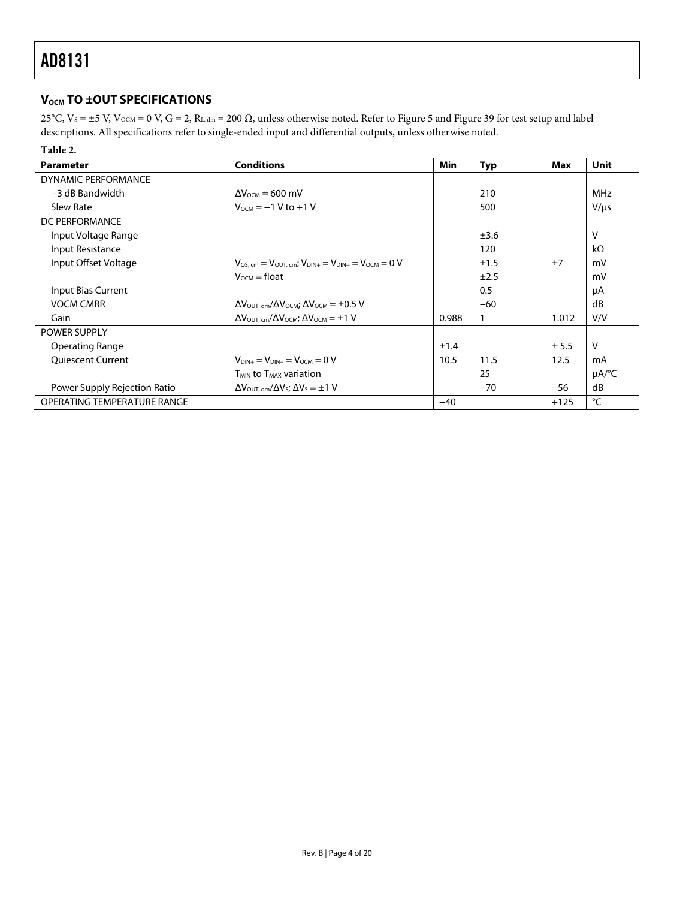### <span id="page-3-0"></span>**V<sub>OCM</sub>TO ±OUT SPECIFICATIONS**

25°C,  $V_s = \pm 5$  V,  $V_{OCM} = 0$  V,  $G = 2$ ,  $R_{L, dm} = 200$  Ω, unless otherwise noted. Refer to [Figure 5](#page-8-1) and [Figure 39](#page-14-1) for test setup and label descriptions. All specifications refer to single-ended input and differential outputs, unless otherwise noted.

| Table 2.                     |                                                                                                 |       |            |        |            |
|------------------------------|-------------------------------------------------------------------------------------------------|-------|------------|--------|------------|
| <b>Parameter</b>             | <b>Conditions</b>                                                                               | Min   | <b>Typ</b> | Max    | Unit       |
| DYNAMIC PERFORMANCE          |                                                                                                 |       |            |        |            |
| $-3$ dB Bandwidth            | $\Delta V_{\text{OCM}} = 600 \text{ mV}$                                                        |       | 210        |        | <b>MHz</b> |
| Slew Rate                    | $V_{OCM} = -1 V to +1 V$                                                                        |       | 500        |        | $V/\mu s$  |
| DC PERFORMANCE               |                                                                                                 |       |            |        |            |
| Input Voltage Range          |                                                                                                 |       | ±3.6       |        | v          |
| Input Resistance             |                                                                                                 |       | 120        |        | $k\Omega$  |
| Input Offset Voltage         | $V_{OS, cm} = V_{OUT, cm}$ ; $V_{DIN+} = V_{DIN-} = V_{OCM} = 0$ V                              |       | ±1.5       | ±7     | mV         |
|                              | $V_{OCM}$ = float                                                                               |       | ±2.5       |        | mV         |
| Input Bias Current           |                                                                                                 |       | 0.5        |        | μA         |
| <b>VOCM CMRR</b>             | $\Delta V_{\text{OUT. dm}}/\Delta V_{\text{OCM}}$ ; $\Delta V_{\text{OCM}} = \pm 0.5 \text{ V}$ |       | $-60$      |        | dB         |
| Gain                         | $\Delta V_{\text{OUT. cm}}/\Delta V_{\text{OCM}}$ ; $\Delta V_{\text{OCM}} = \pm 1 \text{ V}$   | 0.988 |            | 1.012  | V/V        |
| <b>POWER SUPPLY</b>          |                                                                                                 |       |            |        |            |
| Operating Range              |                                                                                                 | ±1.4  |            | ± 5.5  | v          |
| <b>Oujescent Current</b>     | $V_{\text{DIN+}} = V_{\text{DIN-}} = V_{\text{OCM}} = 0 V$                                      | 10.5  | 11.5       | 12.5   | mA         |
|                              | <b>T<sub>MIN</sub></b> to T <sub>MAX</sub> variation                                            |       | 25         |        | $\mu$ A/°C |
| Power Supply Rejection Ratio | $\Delta V_{\text{OUT. dm}}/\Delta V_{\text{S}}$ ; $\Delta V_{\text{S}} = \pm 1 \text{ V}$       |       | $-70$      | $-56$  | dB         |
| OPERATING TEMPERATURE RANGE  |                                                                                                 | $-40$ |            | $+125$ | °C         |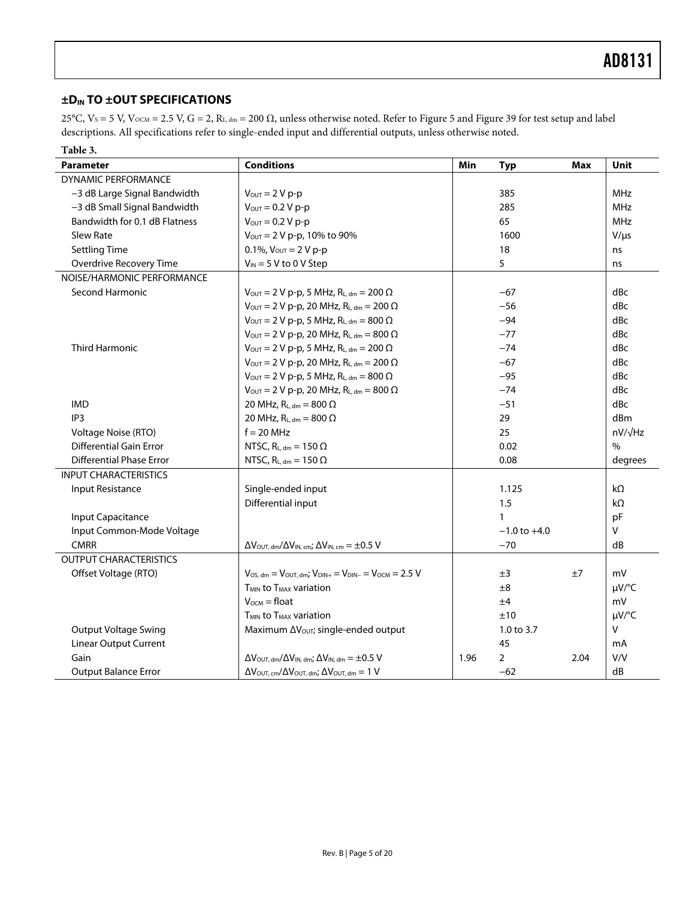### <span id="page-4-0"></span>**±DIN TO ±OUT SPECIFICATIONS**

25°C, V<sub>S</sub> = 5 V, V<sub>OCM</sub> = 2.5 V, G = 2, R<sub>L, dm</sub> = 200 Ω, unless otherwise noted. Refer to [Figure 5](#page-8-1) and [Figure 39](#page-14-1) for test setup and label descriptions. All specifications refer to single-ended input and differential outputs, unless otherwise noted.

| Table 3.                        |                                                                                               |      |                  |                |             |
|---------------------------------|-----------------------------------------------------------------------------------------------|------|------------------|----------------|-------------|
| <b>Parameter</b>                | <b>Conditions</b>                                                                             | Min  | <b>Typ</b>       | Max            | Unit        |
| <b>DYNAMIC PERFORMANCE</b>      |                                                                                               |      |                  |                |             |
| -3 dB Large Signal Bandwidth    | $V_{\text{OUT}} = 2 V p - p$                                                                  |      | 385              |                | <b>MHz</b>  |
| -3 dB Small Signal Bandwidth    | $V_{\text{OUT}} = 0.2 V p-p$                                                                  |      | 285              |                | <b>MHz</b>  |
| Bandwidth for 0.1 dB Flatness   | $V_{OUT} = 0.2 V p-p$                                                                         |      | 65               |                | <b>MHz</b>  |
| <b>Slew Rate</b>                | $V_{\text{OUT}} = 2 V p-p$ , 10% to 90%                                                       |      | 1600             |                | $V/\mu s$   |
| <b>Settling Time</b>            | 0.1%, $V_{OUT} = 2 V p-p$                                                                     |      | 18               |                | ns          |
| Overdrive Recovery Time         | $V_{IN}$ = 5 V to 0 V Step                                                                    |      | 5                |                | ns          |
| NOISE/HARMONIC PERFORMANCE      |                                                                                               |      |                  |                |             |
| Second Harmonic                 | $V_{\text{OUT}} = 2 V p-p$ , 5 MHz, $R_{L, dm} = 200 \Omega$                                  |      | $-67$            |                | dBc         |
|                                 | $V_{\text{OUT}} = 2 V p-p$ , 20 MHz, $R_{L, dm} = 200 \Omega$                                 |      | $-56$            |                | dBc         |
|                                 | $V_{\text{OUT}} = 2 V p-p$ , 5 MHz, R <sub>L, dm</sub> = 800 $\Omega$                         |      | $-94$            |                | dBc         |
|                                 | $V_{\text{OUT}} = 2 V p-p$ , 20 MHz, R <sub>L, dm</sub> = 800 $\Omega$                        |      | $-77$            |                | dBc         |
| <b>Third Harmonic</b>           | $V_{\text{OUT}} = 2 V p-p$ , 5 MHz, R <sub>L, dm</sub> = 200 $\Omega$                         |      | $-74$            |                | dBc         |
|                                 | $V_{\text{OUT}} = 2 V p-p$ , 20 MHz, R <sub>L, dm</sub> = 200 $\Omega$                        |      | $-67$            |                | dBc         |
|                                 | $V_{\text{OUT}} = 2 V p-p$ , 5 MHz, R <sub>L, dm</sub> = 800 $\Omega$                         |      | $-95$            |                | dBc         |
|                                 | $V_{\text{OUT}} = 2 V p-p$ , 20 MHz, R <sub>L, dm</sub> = 800 $\Omega$                        |      | $-74$            |                | dBc         |
| <b>IMD</b>                      | 20 MHz, $R_{L, dm} = 800 \Omega$                                                              |      | $-51$            |                | dBc         |
| IP3                             | 20 MHz, $R_{L, dm} = 800 \Omega$                                                              |      | 29               |                | dBm         |
| Voltage Noise (RTO)             | $f = 20$ MHz                                                                                  | 25   |                  | $nV/\sqrt{Hz}$ |             |
| <b>Differential Gain Error</b>  | NTSC, $R_{L, dm} = 150 \Omega$                                                                | 0.02 |                  | $\frac{0}{0}$  |             |
| <b>Differential Phase Error</b> | NTSC, $R_{L, dm} = 150 \Omega$                                                                | 0.08 |                  | degrees        |             |
| <b>INPUT CHARACTERISTICS</b>    |                                                                                               |      |                  |                |             |
| <b>Input Resistance</b>         | Single-ended input                                                                            |      | 1.125            |                | $k\Omega$   |
|                                 | Differential input                                                                            |      | 1.5              |                | $k\Omega$   |
| <b>Input Capacitance</b>        |                                                                                               |      | $\mathbf{1}$     |                | pF          |
| Input Common-Mode Voltage       |                                                                                               |      | $-1.0$ to $+4.0$ |                | V           |
| <b>CMRR</b>                     | $\Delta V_{\text{OUT, dm}}/\Delta V_{\text{IN, cm}}$ ; $\Delta V_{\text{IN, cm}} = \pm 0.5$ V |      | $-70$            |                | dB          |
| <b>OUTPUT CHARACTERISTICS</b>   |                                                                                               |      |                  |                |             |
| Offset Voltage (RTO)            | $V_{OS, dm} = V_{OUT, dm}$ ; $V_{DIN+} = V_{DIN-} = V_{OCM} = 2.5 V$                          |      | ±3               | ±7             | mV          |
|                                 | T <sub>MIN</sub> to T <sub>MAX</sub> variation                                                |      | ±8               |                | µV/°C       |
|                                 | $V_{OCM} = float$                                                                             |      | ±4               |                | mV          |
|                                 | T <sub>MIN</sub> to T <sub>MAX</sub> variation                                                |      | ±10              |                | $\mu V$ /°C |
| <b>Output Voltage Swing</b>     | Maximum ΔV <sub>OUT</sub> ; single-ended output                                               |      | 1.0 to 3.7       |                | $\vee$      |
| <b>Linear Output Current</b>    |                                                                                               |      | 45               |                | mA          |
| Gain                            | $\Delta V_{\text{OUT, dm}}/\Delta V_{\text{IN, dm}}$ ; $\Delta V_{\text{IN, dm}} = \pm 0.5$ V | 1.96 | $\overline{2}$   | 2.04           | V/V         |
| <b>Output Balance Error</b>     | $\Delta V_{\text{OUT, cm}}/\Delta V_{\text{OUT, dm}}$ ; $\Delta V_{\text{OUT, dm}} = 1$ V     |      | $-62$            |                | dB          |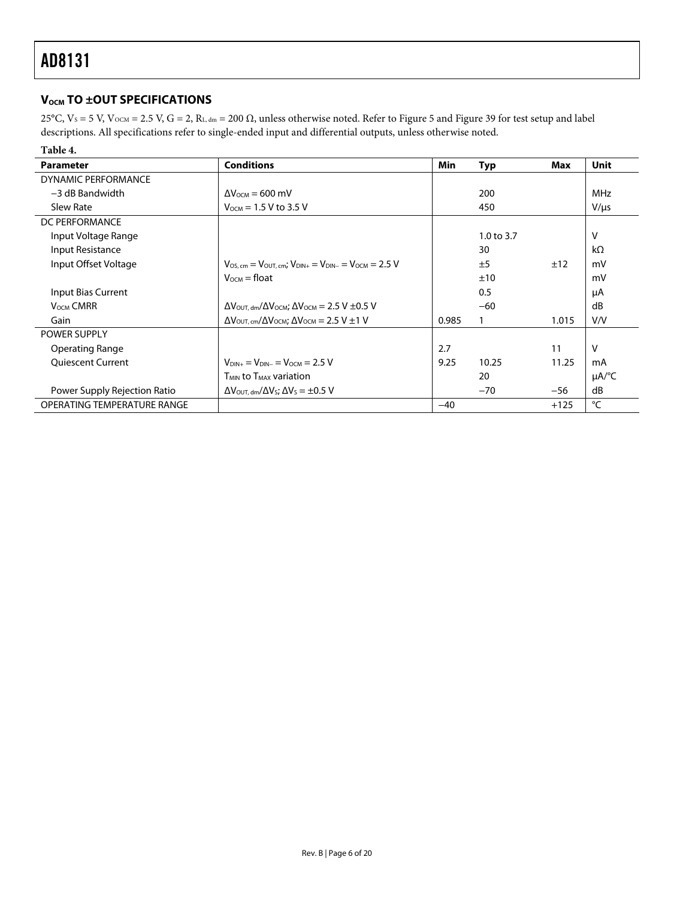### <span id="page-5-0"></span>**V<sub>OCM</sub>TO ±OUT SPECIFICATIONS**

25°C,  $V_s$  = 5 V,  $V_{OCM}$  = 2.5 V, G = 2, R<sub>L, dm</sub> = 200 Ω, unless otherwise noted. Refer to [Figure 5](#page-8-1) and [Figure 39](#page-14-1) for test setup and label descriptions. All specifications refer to single-ended input and differential outputs, unless otherwise noted.

| Table 4.                     |                                                                                                               |       |            |        |                        |
|------------------------------|---------------------------------------------------------------------------------------------------------------|-------|------------|--------|------------------------|
| <b>Parameter</b>             | <b>Conditions</b>                                                                                             | Min   | <b>Typ</b> | Max    | Unit                   |
| DYNAMIC PERFORMANCE          |                                                                                                               |       |            |        |                        |
| $-3$ dB Bandwidth            | $\Delta V_{\text{OCM}} = 600 \text{ mV}$                                                                      |       | 200        |        | <b>MHz</b>             |
| Slew Rate                    | $V_{\text{OCM}} = 1.5 V$ to 3.5 V                                                                             |       | 450        |        | $V/\mu s$              |
| DC PERFORMANCE               |                                                                                                               |       |            |        |                        |
| Input Voltage Range          |                                                                                                               |       | 1.0 to 3.7 |        | v                      |
| Input Resistance             |                                                                                                               |       | 30         |        | $k\Omega$              |
| Input Offset Voltage         | $V_{OS, cm} = V_{OUT, cm}$ ; $V_{DIN+} = V_{DIN-} = V_{OCM} = 2.5$ V                                          |       | ±5         | ±12    | mV                     |
|                              | $V_{OCM} =$ float                                                                                             |       | ±10        |        | mV                     |
| Input Bias Current           |                                                                                                               |       | 0.5        |        | μA                     |
| V <sub>OCM</sub> CMRR        | $\Delta V_{\text{OUT. dm}}/\Delta V_{\text{OCM}}$ ; $\Delta V_{\text{OCM}} = 2.5 \text{ V} \pm 0.5 \text{ V}$ |       | $-60$      |        | dB                     |
| Gain                         | $\Delta V_{\text{OUT, cm}}/\Delta V_{\text{OCM}}$ ; $\Delta V_{\text{OCM}} = 2.5 \text{ V} \pm 1 \text{ V}$   | 0.985 |            | 1.015  | V/V                    |
| POWER SUPPLY                 |                                                                                                               |       |            |        |                        |
| Operating Range              |                                                                                                               | 2.7   |            | 11     | v                      |
| <b>Oujescent Current</b>     | $V_{DIN+} = V_{DIN-} = V_{OCM} = 2.5 V$                                                                       | 9.25  | 10.25      | 11.25  | mA                     |
|                              | $T_{MIN}$ to $T_{MAX}$ variation                                                                              |       | 20         |        | $\mu A$ <sup>o</sup> C |
| Power Supply Rejection Ratio | $\Delta V_{\text{OUT. dm}}/\Delta V_{\text{S}}$ ; $\Delta V_{\text{S}} = \pm 0.5$ V                           |       | $-70$      | $-56$  | dB                     |
| OPERATING TEMPERATURE RANGE  |                                                                                                               | $-40$ |            | $+125$ | °C                     |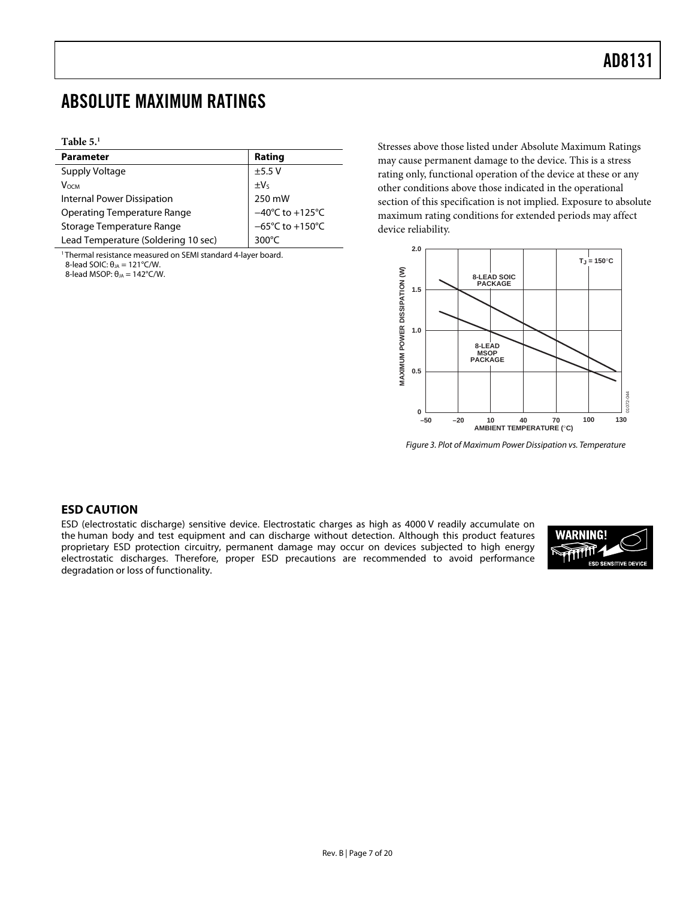## <span id="page-6-0"></span>ABSOLUTE MAXIMUM RATINGS

#### **Table [5.1](#page-6-0)**

| <b>Parameter</b>                    | Rating                               |
|-------------------------------------|--------------------------------------|
| Supply Voltage                      | ±5.5V                                |
| <b>V</b> осм                        | $\pm V_5$                            |
| Internal Power Dissipation          | 250 mW                               |
| <b>Operating Temperature Range</b>  | $-40^{\circ}$ C to $+125^{\circ}$ C  |
| Storage Temperature Range           | $-65^{\circ}$ C to +150 $^{\circ}$ C |
| Lead Temperature (Soldering 10 sec) | 300 $\degree$ C                      |

<sup>1</sup> Thermal resistance measured on SEMI standard 4-layer board.

8-lead SOIC:  $θ<sub>JA</sub> = 121°C/W$ .

8-lead MSOP:  $θ<sub>JA</sub> = 142°C/W$ .

Stresses above those listed under Absolute Maximum Ratings may cause permanent damage to the device. This is a stress rating only, functional operation of the device at these or any other conditions above those indicated in the operational section of this specification is not implied. Exposure to absolute maximum rating conditions for extended periods may affect device reliability.



Figure 3. Plot of Maximum Power Dissipation vs. Temperature

#### **ESD CAUTION**

ESD (electrostatic discharge) sensitive device. Electrostatic charges as high as 4000 V readily accumulate on the human body and test equipment and can discharge without detection. Although this product features proprietary ESD protection circuitry, permanent damage may occur on devices subjected to high energy electrostatic discharges. Therefore, proper ESD precautions are recommended to avoid performance degradation or loss of functionality.

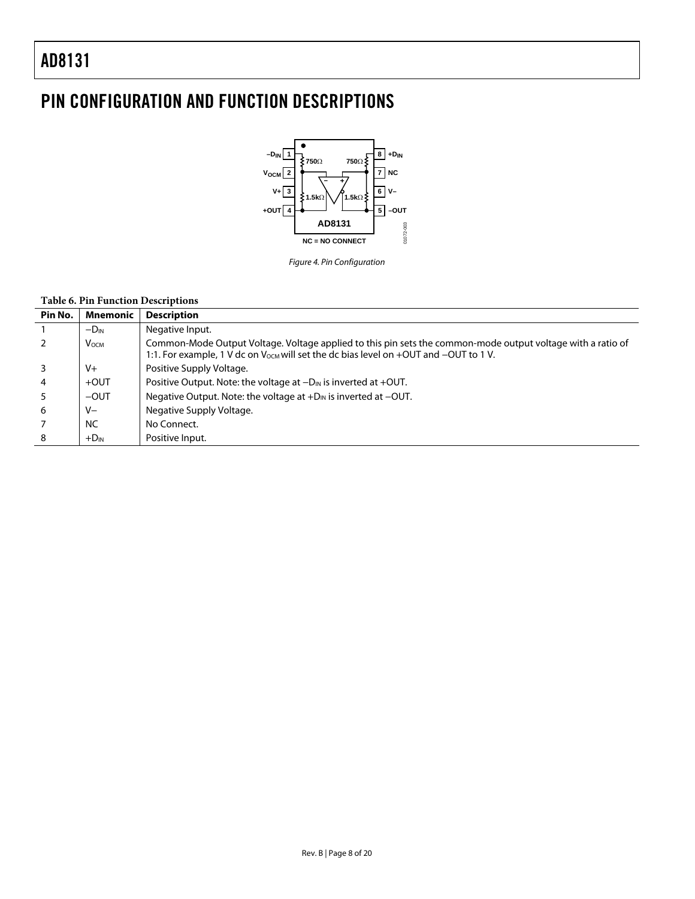# <span id="page-7-0"></span>PIN CONFIGURATION AND FUNCTION DESCRIPTIONS



Figure 4. Pin Configuration

#### **Table 6. Pin Function Descriptions**

| Pin No. | Mnemonic     | <b>Description</b>                                                                                                                                                                                              |
|---------|--------------|-----------------------------------------------------------------------------------------------------------------------------------------------------------------------------------------------------------------|
|         | $-D_{IN}$    | Negative Input.                                                                                                                                                                                                 |
|         | <b>V</b> осм | Common-Mode Output Voltage. Voltage applied to this pin sets the common-mode output voltage with a ratio of<br>1:1. For example, 1 V dc on V <sub>ocm</sub> will set the dc bias level on +OUT and -OUT to 1 V. |
|         | $V +$        | Positive Supply Voltage.                                                                                                                                                                                        |
| 4       | $+$ OUT      | Positive Output. Note: the voltage at $-D_{\text{IN}}$ is inverted at +OUT.                                                                                                                                     |
|         | $-$ OUT      | Negative Output. Note: the voltage at $+D_{\text{IN}}$ is inverted at $-OUT$ .                                                                                                                                  |
| 6       | $V -$        | Negative Supply Voltage.                                                                                                                                                                                        |
|         | <b>NC</b>    | No Connect.                                                                                                                                                                                                     |
| 8       | $+D_{IN}$    | Positive Input.                                                                                                                                                                                                 |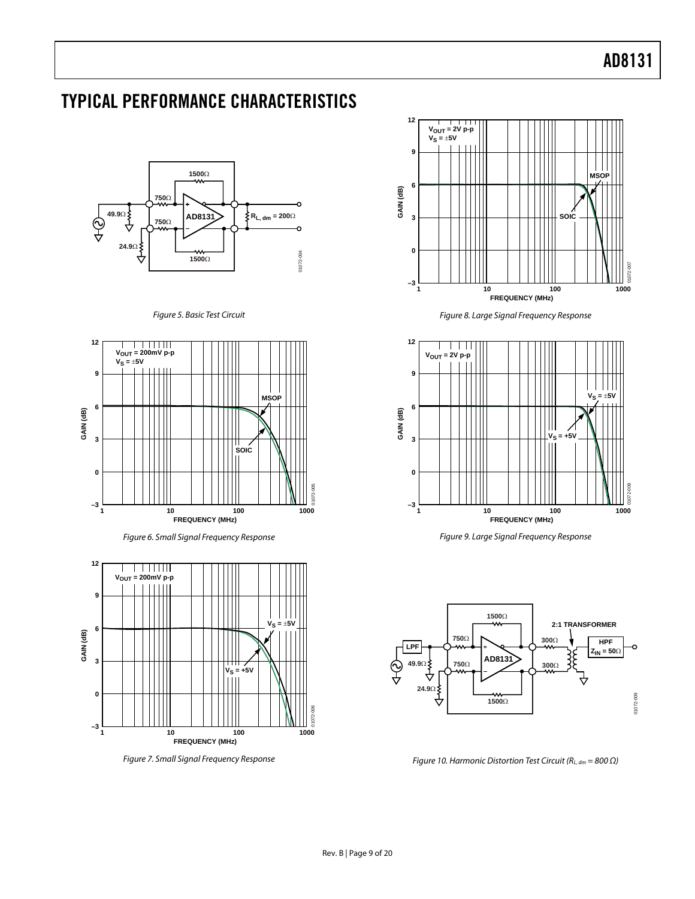# <span id="page-8-0"></span>TYPICAL PERFORMANCE CHARACTERISTICS



#### Figure 5. Basic Test Circuit

<span id="page-8-1"></span>





Figure 7. Small Signal Frequency Response



Figure 8. Large Signal Frequency Response



Figure 9. Large Signal Frequency Response



Figure 10. Harmonic Distortion Test Circuit ( $R_{L, dm} = 800 \Omega$ )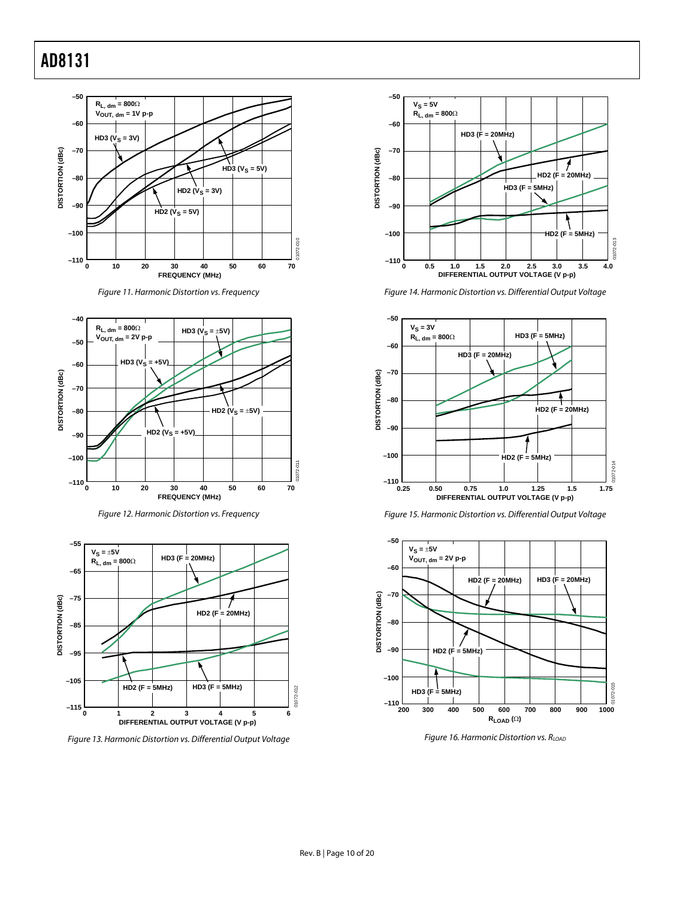





Figure 12. Harmonic Distortion vs. Frequency



Figure 13. Harmonic Distortion vs. Differential Output Voltage



Figure 14. Harmonic Distortion vs. Differential Output Voltage







Figure 16. Harmonic Distortion vs.  $R_{\text{LOAD}}$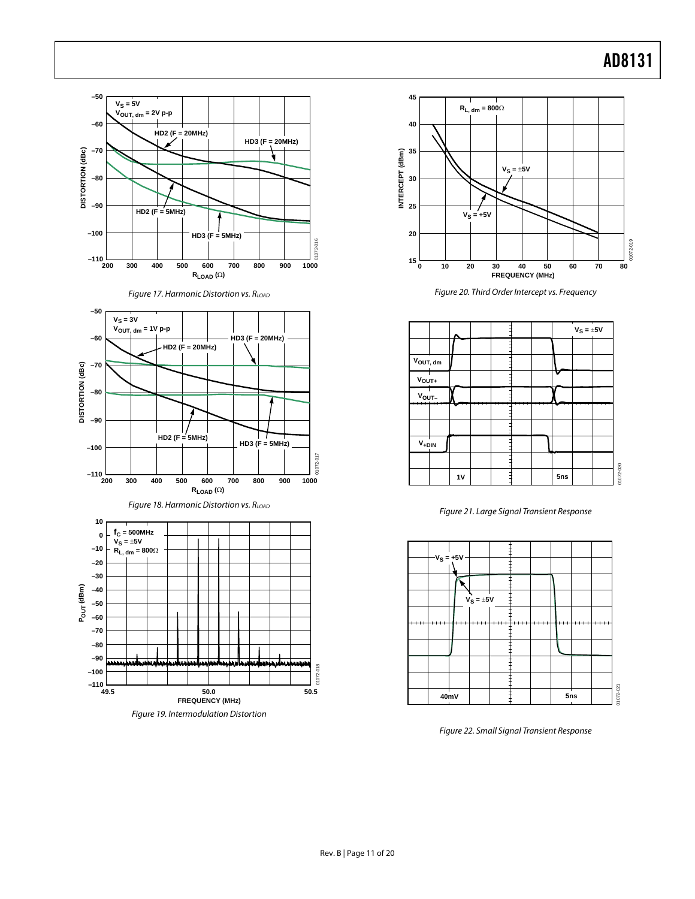













Figure 20. Third Order Intercept vs. Frequency



Figure 21. Large Signal Transient Response



Figure 22. Small Signal Transient Response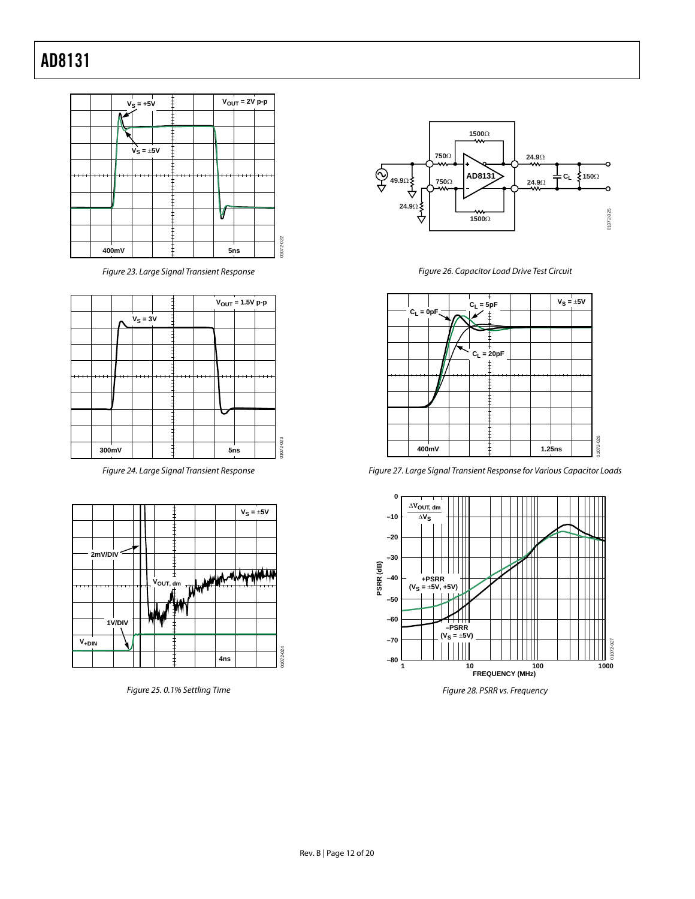

Figure 23. Large Signal Transient Response

<span id="page-11-0"></span>

Figure 24. Large Signal Transient Response



Figure 25. 0.1% Settling Time



Figure 26. Capacitor Load Drive Test Circuit



Figure 27. Large Signal Transient Response for Various Capacitor Loads



Figure 28. PSRR vs. Frequency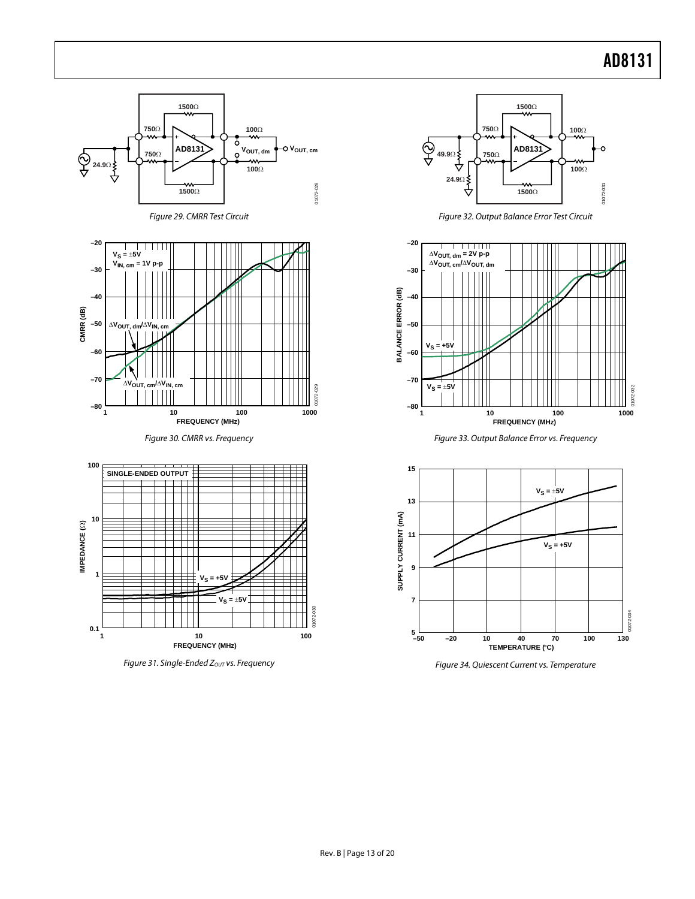01072-032



Figure 31. Single-Ended Zout vs. Frequency

Figure 34. Quiescent Current vs. Temperature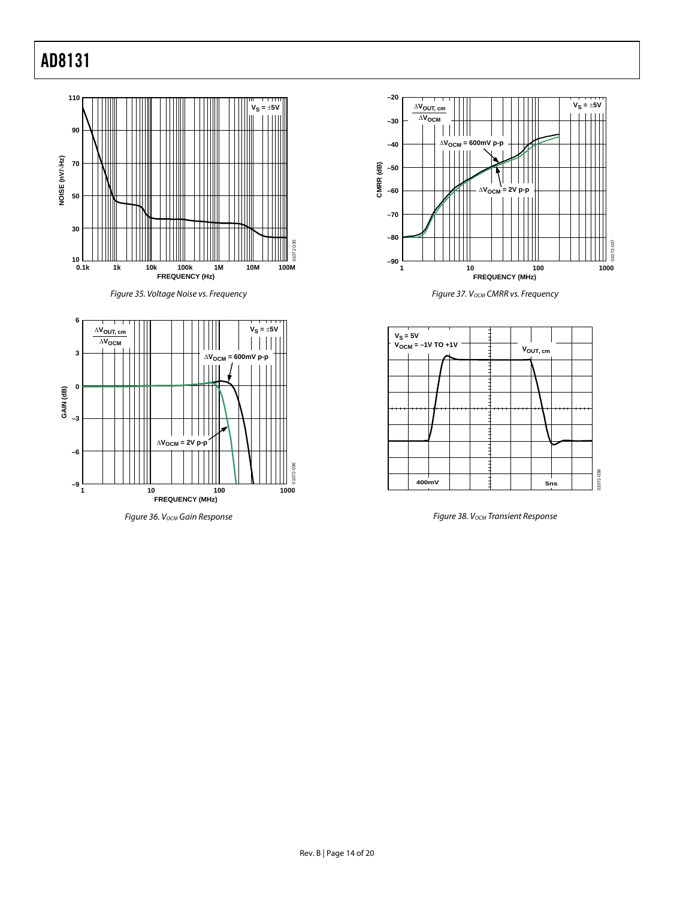









Figure 36. V<sub>OCM</sub> Gain Response Figure 38. V<sub>OCM</sub> Transient Response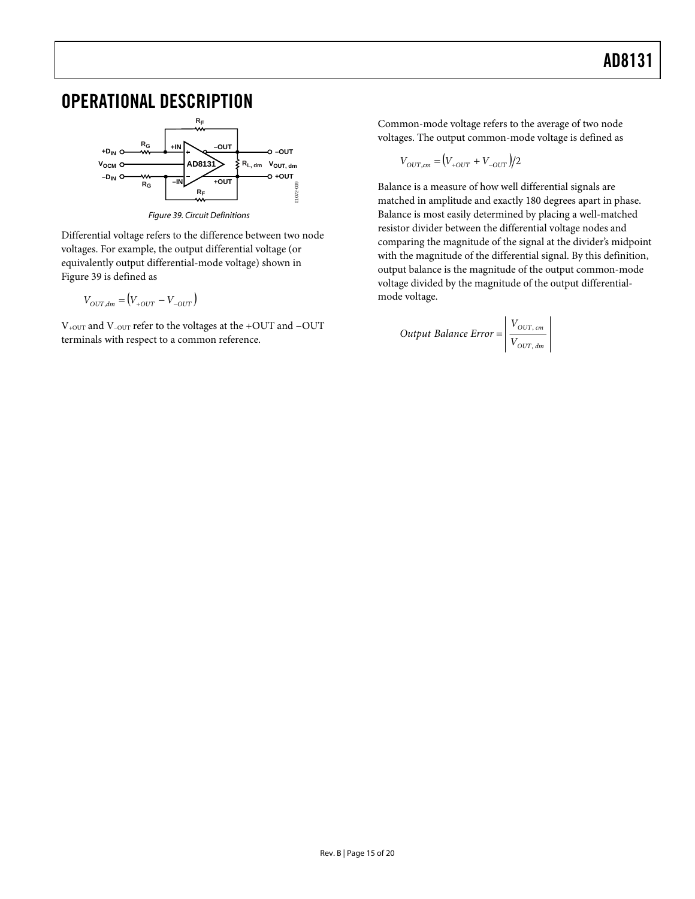## <span id="page-14-0"></span>OPERATIONAL DESCRIPTION



Figure 39. Circuit Definitions

<span id="page-14-1"></span>Differential voltage refers to the difference between two node voltages. For example, the output differential voltage (or equivalently output differential-mode voltage) shown in [Figure 39](#page-14-1) is defined as

$$
V_{OUT,dm} = (V_{+OUT} - V_{-OUT})
$$

V+OUT and V–OUT refer to the voltages at the +OUT and −OUT terminals with respect to a common reference.

Common-mode voltage refers to the average of two node voltages. The output common-mode voltage is defined as

$$
V_{OUT,cm} = (V_{+OUT} + V_{-OUT})/2
$$

Balance is a measure of how well differential signals are matched in amplitude and exactly 180 degrees apart in phase. Balance is most easily determined by placing a well-matched resistor divider between the differential voltage nodes and comparing the magnitude of the signal at the divider's midpoint with the magnitude of the differential signal. By this definition, output balance is the magnitude of the output common-mode voltage divided by the magnitude of the output differentialmode voltage.

Output Balance Error = 
$$
\begin{cases} V_{OUT, cm} \\ V_{OUT, dm} \end{cases}
$$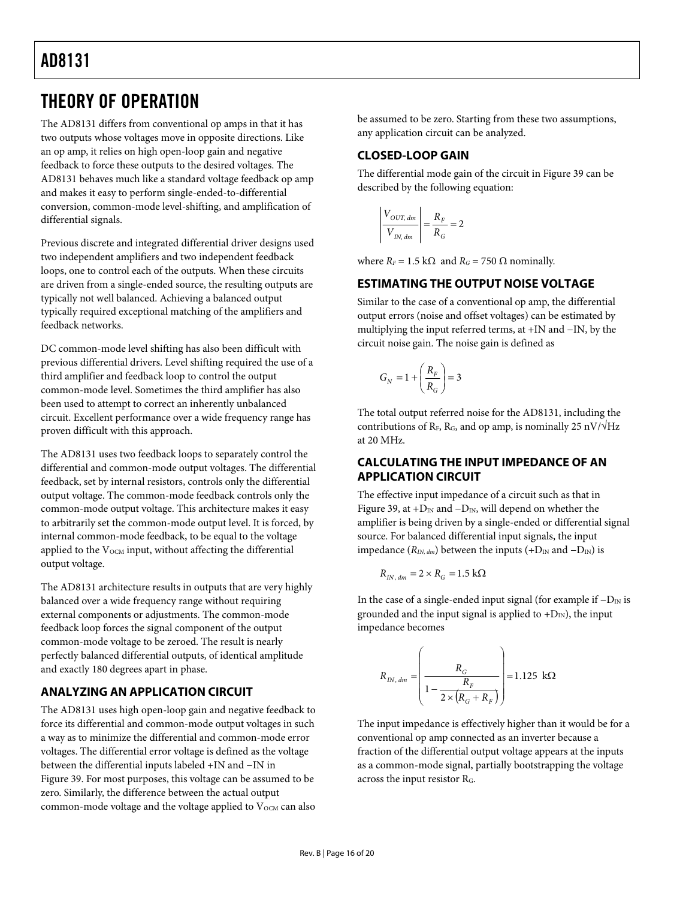## <span id="page-15-0"></span>THEORY OF OPERATION

The AD8131 differs from conventional op amps in that it has two outputs whose voltages move in opposite directions. Like an op amp, it relies on high open-loop gain and negative feedback to force these outputs to the desired voltages. The AD8131 behaves much like a standard voltage feedback op amp and makes it easy to perform single-ended-to-differential conversion, common-mode level-shifting, and amplification of differential signals.

Previous discrete and integrated differential driver designs used two independent amplifiers and two independent feedback loops, one to control each of the outputs. When these circuits are driven from a single-ended source, the resulting outputs are typically not well balanced. Achieving a balanced output typically required exceptional matching of the amplifiers and feedback networks.

DC common-mode level shifting has also been difficult with previous differential drivers. Level shifting required the use of a third amplifier and feedback loop to control the output common-mode level. Sometimes the third amplifier has also been used to attempt to correct an inherently unbalanced circuit. Excellent performance over a wide frequency range has proven difficult with this approach.

The AD8131 uses two feedback loops to separately control the differential and common-mode output voltages. The differential feedback, set by internal resistors, controls only the differential output voltage. The common-mode feedback controls only the common-mode output voltage. This architecture makes it easy to arbitrarily set the common-mode output level. It is forced, by internal common-mode feedback, to be equal to the voltage applied to the  $V_{OCM}$  input, without affecting the differential output voltage.

The AD8131 architecture results in outputs that are very highly balanced over a wide frequency range without requiring external components or adjustments. The common-mode feedback loop forces the signal component of the output common-mode voltage to be zeroed. The result is nearly perfectly balanced differential outputs, of identical amplitude and exactly 180 degrees apart in phase.

### **ANALYZING AN APPLICATION CIRCUIT**

The AD8131 uses high open-loop gain and negative feedback to force its differential and common-mode output voltages in such a way as to minimize the differential and common-mode error voltages. The differential error voltage is defined as the voltage between the differential inputs labeled +IN and −IN in [Figure 39](#page-14-1). For most purposes, this voltage can be assumed to be zero. Similarly, the difference between the actual output common-mode voltage and the voltage applied to V<sub>OCM</sub> can also be assumed to be zero. Starting from these two assumptions, any application circuit can be analyzed.

### **CLOSED-LOOP GAIN**

The differential mode gain of the circuit in [Figure 39](#page-14-1) can be described by the following equation:

$$
\left| \frac{V_{OUT, dm}}{V_{IN, dm}} \right| = \frac{R_F}{R_G} = 2
$$

where  $R_F = 1.5 \text{ k}\Omega$  and  $R_G = 750 \Omega$  nominally.

### **ESTIMATING THE OUTPUT NOISE VOLTAGE**

Similar to the case of a conventional op amp, the differential output errors (noise and offset voltages) can be estimated by multiplying the input referred terms, at +IN and −IN, by the circuit noise gain. The noise gain is defined as

$$
G_N = 1 + \left(\frac{R_F}{R_G}\right) = 3
$$

The total output referred noise for the AD8131, including the contributions of R<sub>F</sub>, R<sub>G</sub>, and op amp, is nominally 25 nV/ $\sqrt{Hz}$ at 20 MHz.

### **CALCULATING THE INPUT IMPEDANCE OF AN APPLICATION CIRCUIT**

The effective input impedance of a circuit such as that in [Figure 39](#page-14-1), at + $D_{IN}$  and  $-D_{IN}$ , will depend on whether the amplifier is being driven by a single-ended or differential signal source. For balanced differential input signals, the input impedance ( $R_{IN, dm}$ ) between the inputs (+ $D_{IN}$  and  $-D_{IN}$ ) is

$$
R_{I\!N,\,dm}=2\times R_G=1.5\;\mathrm{k}\Omega
$$

In the case of a single-ended input signal (for example if  $-D<sub>IN</sub>$  is grounded and the input signal is applied to  $+D_{IN}$ ), the input impedance becomes

$$
R_{IN, dm} = \left(\frac{R_G}{1 - \frac{R_F}{2 \times (R_G + R_F)}}\right) = 1.125 \text{ k}\Omega
$$

The input impedance is effectively higher than it would be for a conventional op amp connected as an inverter because a fraction of the differential output voltage appears at the inputs as a common-mode signal, partially bootstrapping the voltage across the input resistor RG.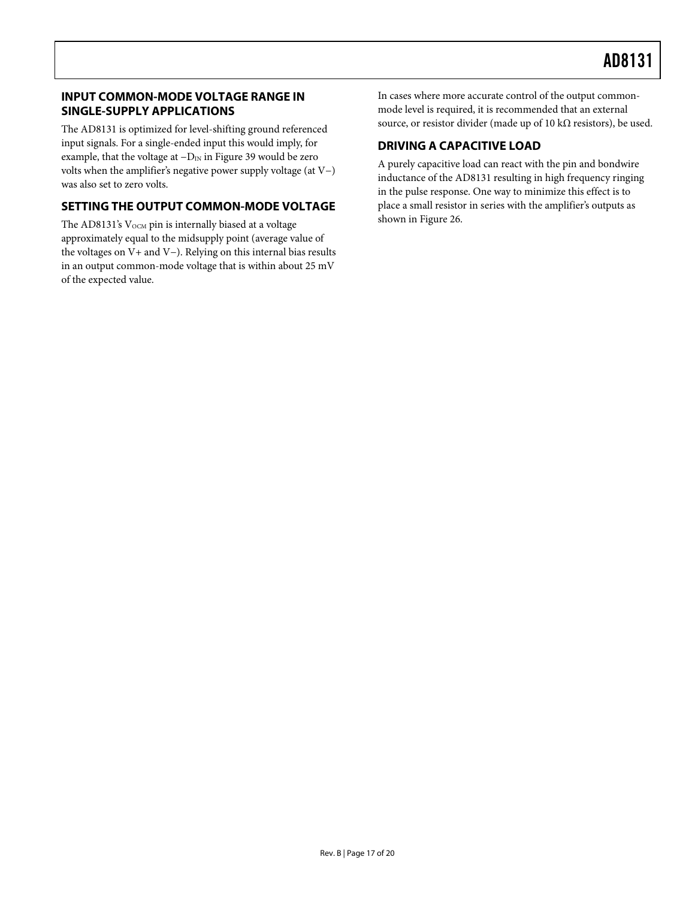#### <span id="page-16-0"></span>**INPUT COMMON-MODE VOLTAGE RANGE IN SINGLE-SUPPLY APPLICATIONS**

The AD8131 is optimized for level-shifting ground referenced input signals. For a single-ended input this would imply, for example, that the voltage at  $-D_{IN}$  in [Figure 39](#page-14-1) would be zero volts when the amplifier's negative power supply voltage (at V−) was also set to zero volts.

### **SETTING THE OUTPUT COMMON-MODE VOLTAGE**

The AD8131's  $V_{OCM}$  pin is internally biased at a voltage approximately equal to the midsupply point (average value of the voltages on V+ and V−). Relying on this internal bias results in an output common-mode voltage that is within about 25 mV of the expected value.

In cases where more accurate control of the output commonmode level is required, it is recommended that an external source, or resistor divider (made up of 10 k $\Omega$  resistors), be used.

### **DRIVING A CAPACITIVE LOAD**

A purely capacitive load can react with the pin and bondwire inductance of the AD8131 resulting in high frequency ringing in the pulse response. One way to minimize this effect is to place a small resistor in series with the amplifier's outputs as shown in [Figure 26](#page-11-0).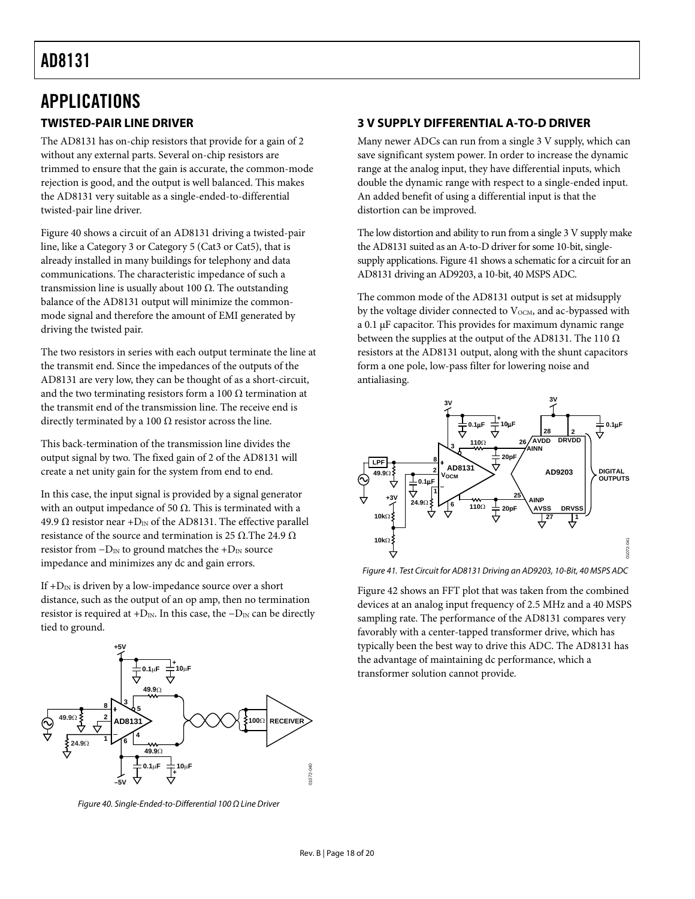## <span id="page-17-0"></span>APPLICATIONS

#### **TWISTED-PAIR LINE DRIVER**

The AD8131 has on-chip resistors that provide for a gain of 2 without any external parts. Several on-chip resistors are trimmed to ensure that the gain is accurate, the common-mode rejection is good, and the output is well balanced. This makes the AD8131 very suitable as a single-ended-to-differential twisted-pair line driver.

[Figure 40](#page-17-1) shows a circuit of an AD8131 driving a twisted-pair line, like a Category 3 or Category 5 (Cat3 or Cat5), that is already installed in many buildings for telephony and data communications. The characteristic impedance of such a transmission line is usually about 100 Ω. The outstanding balance of the AD8131 output will minimize the commonmode signal and therefore the amount of EMI generated by driving the twisted pair.

The two resistors in series with each output terminate the line at the transmit end. Since the impedances of the outputs of the AD8131 are very low, they can be thought of as a short-circuit, and the two terminating resistors form a 100  $\Omega$  termination at the transmit end of the transmission line. The receive end is directly terminated by a 100  $\Omega$  resistor across the line.

This back-termination of the transmission line divides the output signal by two. The fixed gain of 2 of the AD8131 will create a net unity gain for the system from end to end.

In this case, the input signal is provided by a signal generator with an output impedance of 50  $\Omega$ . This is terminated with a 49.9  $\Omega$  resistor near +D<sub>IN</sub> of the AD8131. The effective parallel resistance of the source and termination is 25 Ω.The 24.9  $Ω$ resistor from  $-D<sub>IN</sub>$  to ground matches the + $D<sub>IN</sub>$  source impedance and minimizes any dc and gain errors.

<span id="page-17-2"></span>If  $+D_{IN}$  is driven by a low-impedance source over a short distance, such as the output of an op amp, then no termination resistor is required at +D<sub>IN</sub>. In this case, the  $-D<sub>IN</sub>$  can be directly tied to ground.



<span id="page-17-1"></span>Figure 40. Single-Ended-to-Differential 100 Ω Line Driver

### **3 V SUPPLY DIFFERENTIAL A-TO-D DRIVER**

Many newer ADCs can run from a single 3 V supply, which can save significant system power. In order to increase the dynamic range at the analog input, they have differential inputs, which double the dynamic range with respect to a single-ended input. An added benefit of using a differential input is that the distortion can be improved.

The low distortion and ability to run from a single 3 V supply make the AD8131 suited as an A-to-D driver for some 10-bit, singlesupply applications. [Figure 41](#page-17-2) shows a schematic for a circuit for an AD8131 driving an AD9203, a 10-bit, 40 MSPS ADC.

The common mode of the AD8131 output is set at midsupply by the voltage divider connected to V<sub>OCM</sub>, and ac-bypassed with a 0.1 μF capacitor. This provides for maximum dynamic range between the supplies at the output of the AD8131. The 110  $\Omega$ resistors at the AD8131 output, along with the shunt capacitors form a one pole, low-pass filter for lowering noise and antialiasing.



Figure 41. Test Circuit for AD8131 Driving an AD9203, 10-Bit, 40 MSPS ADC

[Figure 42](#page-18-1) shows an FFT plot that was taken from the combined devices at an analog input frequency of 2.5 MHz and a 40 MSPS sampling rate. The performance of the AD8131 compares very favorably with a center-tapped transformer drive, which has typically been the best way to drive this ADC. The AD8131 has the advantage of maintaining dc performance, which a transformer solution cannot provide.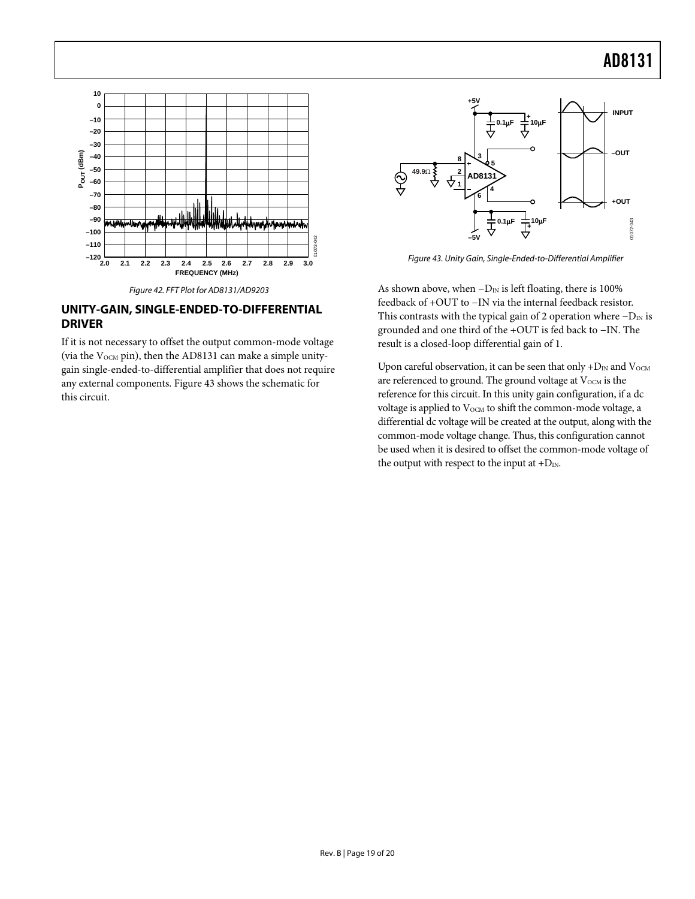<span id="page-18-0"></span>



#### <span id="page-18-2"></span><span id="page-18-1"></span>**UNITY-GAIN, SINGLE-ENDED-TO-DIFFERENTIAL DRIVER**

If it is not necessary to offset the output common-mode voltage (via the  $V_{OCM}$  pin), then the AD8131 can make a simple unitygain single-ended-to-differential amplifier that does not require any external components. [Figure 43](#page-18-2) shows the schematic for this circuit.



Figure 43. Unity Gain, Single-Ended-to-Differential Amplifier

As shown above, when  $-D_{IN}$  is left floating, there is 100% feedback of +OUT to −IN via the internal feedback resistor. This contrasts with the typical gain of 2 operation where  $-D<sub>IN</sub>$  is grounded and one third of the +OUT is fed back to −IN. The result is a closed-loop differential gain of 1.

Upon careful observation, it can be seen that only  $+D_{IN}$  and  $V_{OCM}$ are referenced to ground. The ground voltage at V<sub>OCM</sub> is the reference for this circuit. In this unity gain configuration, if a dc voltage is applied to  $V_{\text{OCM}}$  to shift the common-mode voltage, a differential dc voltage will be created at the output, along with the common-mode voltage change. Thus, this configuration cannot be used when it is desired to offset the common-mode voltage of the output with respect to the input at  $+D_{\text{IN}}$ .